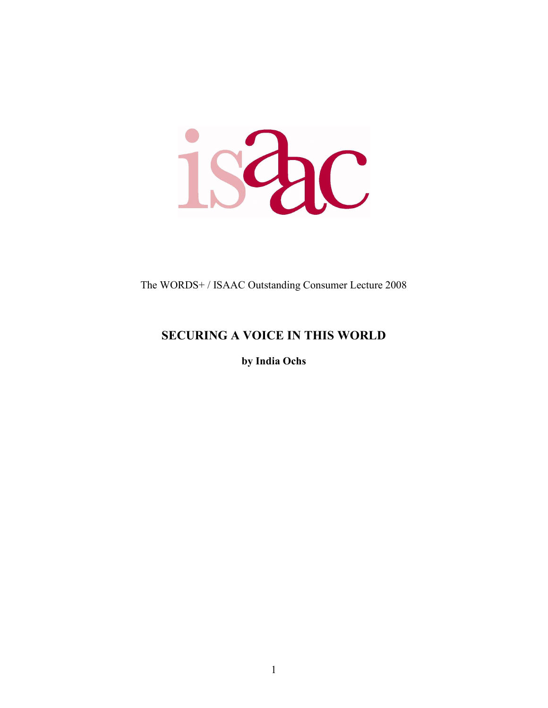ishc

The WORDS+ / ISAAC Outstanding Consumer Lecture 2008

## **SECURING A VOICE IN THIS WORLD**

**by India Ochs**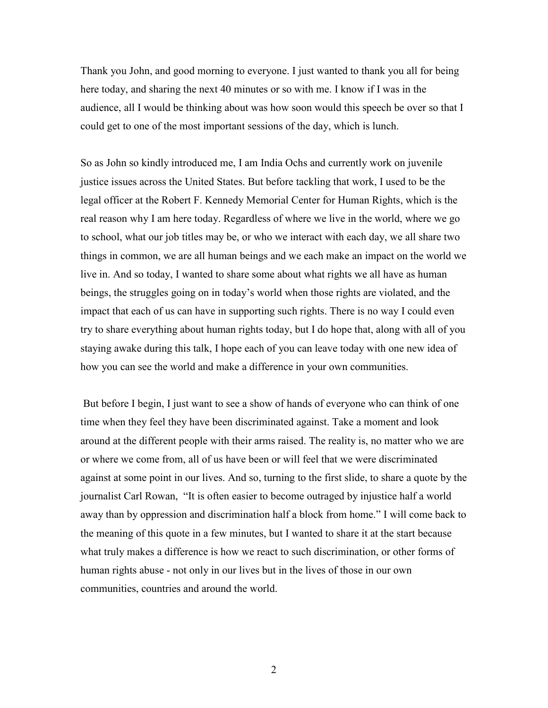Thank you John, and good morning to everyone. I just wanted to thank you all for being here today, and sharing the next 40 minutes or so with me. I know if I was in the audience, all I would be thinking about was how soon would this speech be over so that I could get to one of the most important sessions of the day, which is lunch.

So as John so kindly introduced me, I am India Ochs and currently work on juvenile justice issues across the United States. But before tackling that work, I used to be the legal officer at the Robert F. Kennedy Memorial Center for Human Rights, which is the real reason why I am here today. Regardless of where we live in the world, where we go to school, what our job titles may be, or who we interact with each day, we all share two things in common, we are all human beings and we each make an impact on the world we live in. And so today, I wanted to share some about what rights we all have as human beings, the struggles going on in today's world when those rights are violated, and the impact that each of us can have in supporting such rights. There is no way I could even try to share everything about human rights today, but I do hope that, along with all of you staying awake during this talk, I hope each of you can leave today with one new idea of how you can see the world and make a difference in your own communities.

 But before I begin, I just want to see a show of hands of everyone who can think of one time when they feel they have been discriminated against. Take a moment and look around at the different people with their arms raised. The reality is, no matter who we are or where we come from, all of us have been or will feel that we were discriminated against at some point in our lives. And so, turning to the first slide, to share a quote by the journalist Carl Rowan, "It is often easier to become outraged by injustice half a world away than by oppression and discrimination half a block from home." I will come back to the meaning of this quote in a few minutes, but I wanted to share it at the start because what truly makes a difference is how we react to such discrimination, or other forms of human rights abuse - not only in our lives but in the lives of those in our own communities, countries and around the world.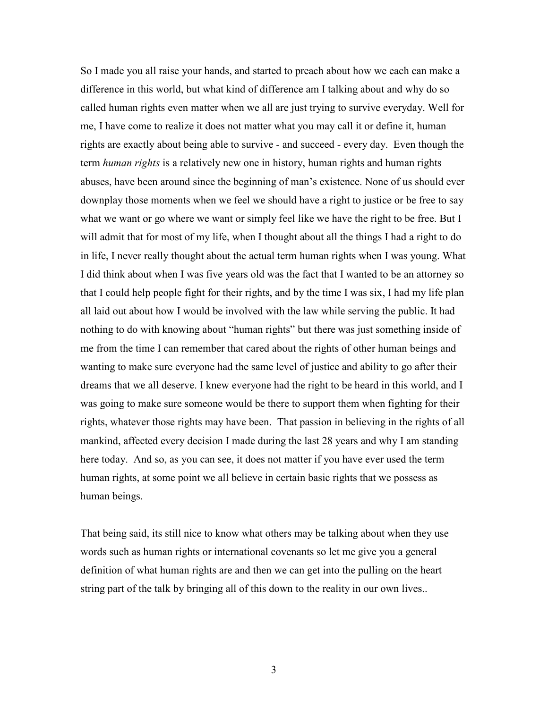So I made you all raise your hands, and started to preach about how we each can make a difference in this world, but what kind of difference am I talking about and why do so called human rights even matter when we all are just trying to survive everyday. Well for me, I have come to realize it does not matter what you may call it or define it, human rights are exactly about being able to survive - and succeed - every day. Even though the term *human rights* is a relatively new one in history, human rights and human rights abuses, have been around since the beginning of man's existence. None of us should ever downplay those moments when we feel we should have a right to justice or be free to say what we want or go where we want or simply feel like we have the right to be free. But I will admit that for most of my life, when I thought about all the things I had a right to do in life, I never really thought about the actual term human rights when I was young. What I did think about when I was five years old was the fact that I wanted to be an attorney so that I could help people fight for their rights, and by the time I was six, I had my life plan all laid out about how I would be involved with the law while serving the public. It had nothing to do with knowing about "human rights" but there was just something inside of me from the time I can remember that cared about the rights of other human beings and wanting to make sure everyone had the same level of justice and ability to go after their dreams that we all deserve. I knew everyone had the right to be heard in this world, and I was going to make sure someone would be there to support them when fighting for their rights, whatever those rights may have been. That passion in believing in the rights of all mankind, affected every decision I made during the last 28 years and why I am standing here today. And so, as you can see, it does not matter if you have ever used the term human rights, at some point we all believe in certain basic rights that we possess as human beings.

That being said, its still nice to know what others may be talking about when they use words such as human rights or international covenants so let me give you a general definition of what human rights are and then we can get into the pulling on the heart string part of the talk by bringing all of this down to the reality in our own lives..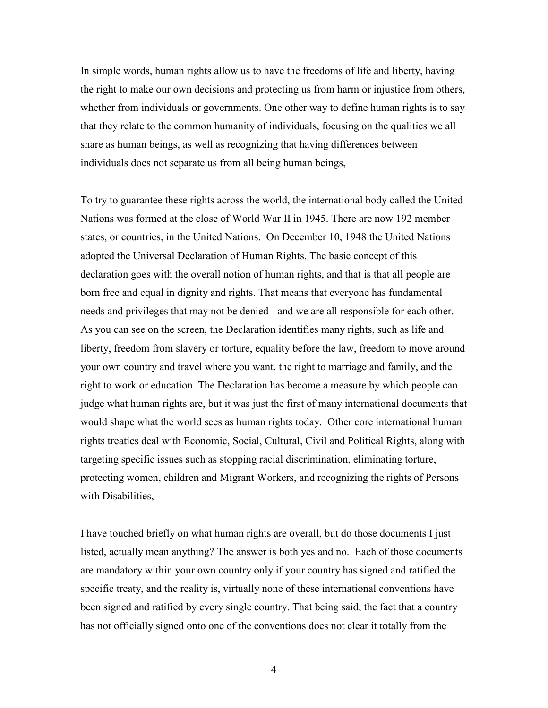In simple words, human rights allow us to have the freedoms of life and liberty, having the right to make our own decisions and protecting us from harm or injustice from others, whether from individuals or governments. One other way to define human rights is to say that they relate to the common humanity of individuals, focusing on the qualities we all share as human beings, as well as recognizing that having differences between individuals does not separate us from all being human beings,

To try to guarantee these rights across the world, the international body called the United Nations was formed at the close of World War II in 1945. There are now 192 member states, or countries, in the United Nations. On December 10, 1948 the United Nations adopted the Universal Declaration of Human Rights. The basic concept of this declaration goes with the overall notion of human rights, and that is that all people are born free and equal in dignity and rights. That means that everyone has fundamental needs and privileges that may not be denied - and we are all responsible for each other. As you can see on the screen, the Declaration identifies many rights, such as life and liberty, freedom from slavery or torture, equality before the law, freedom to move around your own country and travel where you want, the right to marriage and family, and the right to work or education. The Declaration has become a measure by which people can judge what human rights are, but it was just the first of many international documents that would shape what the world sees as human rights today. Other core international human rights treaties deal with Economic, Social, Cultural, Civil and Political Rights, along with targeting specific issues such as stopping racial discrimination, eliminating torture, protecting women, children and Migrant Workers, and recognizing the rights of Persons with Disabilities,

I have touched briefly on what human rights are overall, but do those documents I just listed, actually mean anything? The answer is both yes and no. Each of those documents are mandatory within your own country only if your country has signed and ratified the specific treaty, and the reality is, virtually none of these international conventions have been signed and ratified by every single country. That being said, the fact that a country has not officially signed onto one of the conventions does not clear it totally from the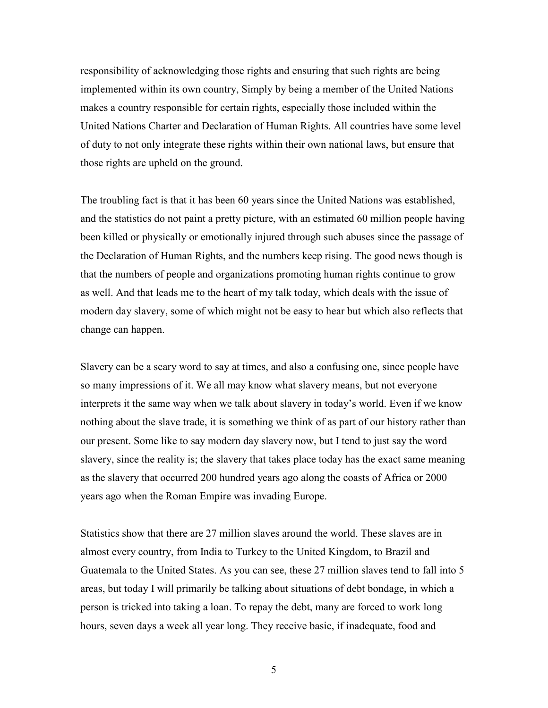responsibility of acknowledging those rights and ensuring that such rights are being implemented within its own country, Simply by being a member of the United Nations makes a country responsible for certain rights, especially those included within the United Nations Charter and Declaration of Human Rights. All countries have some level of duty to not only integrate these rights within their own national laws, but ensure that those rights are upheld on the ground.

The troubling fact is that it has been 60 years since the United Nations was established, and the statistics do not paint a pretty picture, with an estimated 60 million people having been killed or physically or emotionally injured through such abuses since the passage of the Declaration of Human Rights, and the numbers keep rising. The good news though is that the numbers of people and organizations promoting human rights continue to grow as well. And that leads me to the heart of my talk today, which deals with the issue of modern day slavery, some of which might not be easy to hear but which also reflects that change can happen.

Slavery can be a scary word to say at times, and also a confusing one, since people have so many impressions of it. We all may know what slavery means, but not everyone interprets it the same way when we talk about slavery in today's world. Even if we know nothing about the slave trade, it is something we think of as part of our history rather than our present. Some like to say modern day slavery now, but I tend to just say the word slavery, since the reality is; the slavery that takes place today has the exact same meaning as the slavery that occurred 200 hundred years ago along the coasts of Africa or 2000 years ago when the Roman Empire was invading Europe.

Statistics show that there are 27 million slaves around the world. These slaves are in almost every country, from India to Turkey to the United Kingdom, to Brazil and Guatemala to the United States. As you can see, these 27 million slaves tend to fall into 5 areas, but today I will primarily be talking about situations of debt bondage, in which a person is tricked into taking a loan. To repay the debt, many are forced to work long hours, seven days a week all year long. They receive basic, if inadequate, food and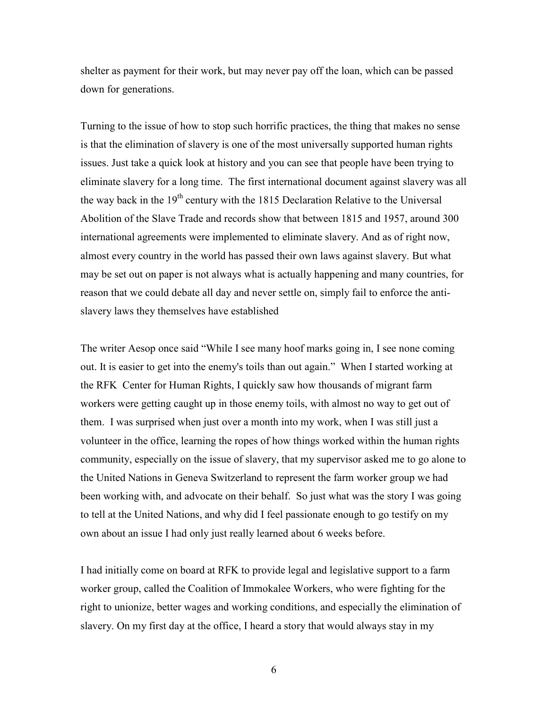shelter as payment for their work, but may never pay off the loan, which can be passed down for generations.

Turning to the issue of how to stop such horrific practices, the thing that makes no sense is that the elimination of slavery is one of the most universally supported human rights issues. Just take a quick look at history and you can see that people have been trying to eliminate slavery for a long time. The first international document against slavery was all the way back in the 19<sup>th</sup> century with the 1815 Declaration Relative to the Universal Abolition of the Slave Trade and records show that between 1815 and 1957, around 300 international agreements were implemented to eliminate slavery. And as of right now, almost every country in the world has passed their own laws against slavery. But what may be set out on paper is not always what is actually happening and many countries, for reason that we could debate all day and never settle on, simply fail to enforce the antislavery laws they themselves have established

The writer Aesop once said "While I see many hoof marks going in, I see none coming out. It is easier to get into the enemy's toils than out again." When I started working at the RFK Center for Human Rights, I quickly saw how thousands of migrant farm workers were getting caught up in those enemy toils, with almost no way to get out of them. I was surprised when just over a month into my work, when I was still just a volunteer in the office, learning the ropes of how things worked within the human rights community, especially on the issue of slavery, that my supervisor asked me to go alone to the United Nations in Geneva Switzerland to represent the farm worker group we had been working with, and advocate on their behalf. So just what was the story I was going to tell at the United Nations, and why did I feel passionate enough to go testify on my own about an issue I had only just really learned about 6 weeks before.

I had initially come on board at RFK to provide legal and legislative support to a farm worker group, called the Coalition of Immokalee Workers, who were fighting for the right to unionize, better wages and working conditions, and especially the elimination of slavery. On my first day at the office, I heard a story that would always stay in my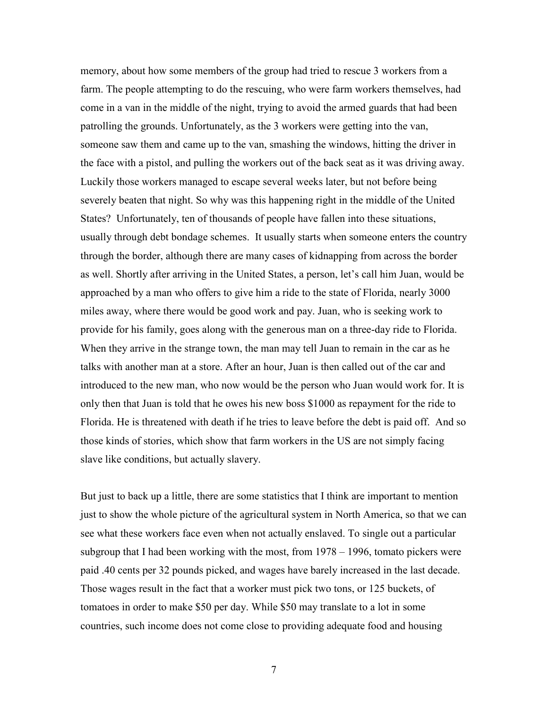memory, about how some members of the group had tried to rescue 3 workers from a farm. The people attempting to do the rescuing, who were farm workers themselves, had come in a van in the middle of the night, trying to avoid the armed guards that had been patrolling the grounds. Unfortunately, as the 3 workers were getting into the van, someone saw them and came up to the van, smashing the windows, hitting the driver in the face with a pistol, and pulling the workers out of the back seat as it was driving away. Luckily those workers managed to escape several weeks later, but not before being severely beaten that night. So why was this happening right in the middle of the United States? Unfortunately, ten of thousands of people have fallen into these situations, usually through debt bondage schemes. It usually starts when someone enters the country through the border, although there are many cases of kidnapping from across the border as well. Shortly after arriving in the United States, a person, let's call him Juan, would be approached by a man who offers to give him a ride to the state of Florida, nearly 3000 miles away, where there would be good work and pay. Juan, who is seeking work to provide for his family, goes along with the generous man on a three-day ride to Florida. When they arrive in the strange town, the man may tell Juan to remain in the car as he talks with another man at a store. After an hour, Juan is then called out of the car and introduced to the new man, who now would be the person who Juan would work for. It is only then that Juan is told that he owes his new boss \$1000 as repayment for the ride to Florida. He is threatened with death if he tries to leave before the debt is paid off. And so those kinds of stories, which show that farm workers in the US are not simply facing slave like conditions, but actually slavery.

But just to back up a little, there are some statistics that I think are important to mention just to show the whole picture of the agricultural system in North America, so that we can see what these workers face even when not actually enslaved. To single out a particular subgroup that I had been working with the most, from 1978 – 1996, tomato pickers were paid .40 cents per 32 pounds picked, and wages have barely increased in the last decade. Those wages result in the fact that a worker must pick two tons, or 125 buckets, of tomatoes in order to make \$50 per day. While \$50 may translate to a lot in some countries, such income does not come close to providing adequate food and housing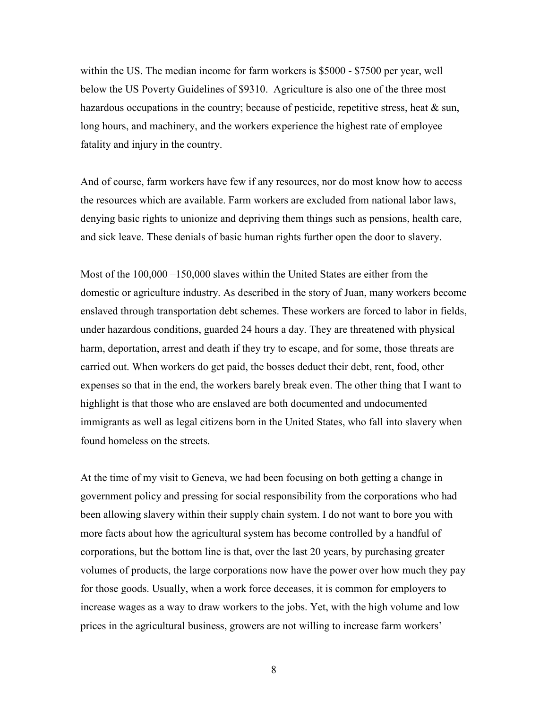within the US. The median income for farm workers is \$5000 - \$7500 per year, well below the US Poverty Guidelines of \$9310. Agriculture is also one of the three most hazardous occupations in the country; because of pesticide, repetitive stress, heat & sun, long hours, and machinery, and the workers experience the highest rate of employee fatality and injury in the country.

And of course, farm workers have few if any resources, nor do most know how to access the resources which are available. Farm workers are excluded from national labor laws, denying basic rights to unionize and depriving them things such as pensions, health care, and sick leave. These denials of basic human rights further open the door to slavery.

Most of the 100,000 –150,000 slaves within the United States are either from the domestic or agriculture industry. As described in the story of Juan, many workers become enslaved through transportation debt schemes. These workers are forced to labor in fields, under hazardous conditions, guarded 24 hours a day. They are threatened with physical harm, deportation, arrest and death if they try to escape, and for some, those threats are carried out. When workers do get paid, the bosses deduct their debt, rent, food, other expenses so that in the end, the workers barely break even. The other thing that I want to highlight is that those who are enslaved are both documented and undocumented immigrants as well as legal citizens born in the United States, who fall into slavery when found homeless on the streets.

At the time of my visit to Geneva, we had been focusing on both getting a change in government policy and pressing for social responsibility from the corporations who had been allowing slavery within their supply chain system. I do not want to bore you with more facts about how the agricultural system has become controlled by a handful of corporations, but the bottom line is that, over the last 20 years, by purchasing greater volumes of products, the large corporations now have the power over how much they pay for those goods. Usually, when a work force deceases, it is common for employers to increase wages as a way to draw workers to the jobs. Yet, with the high volume and low prices in the agricultural business, growers are not willing to increase farm workers'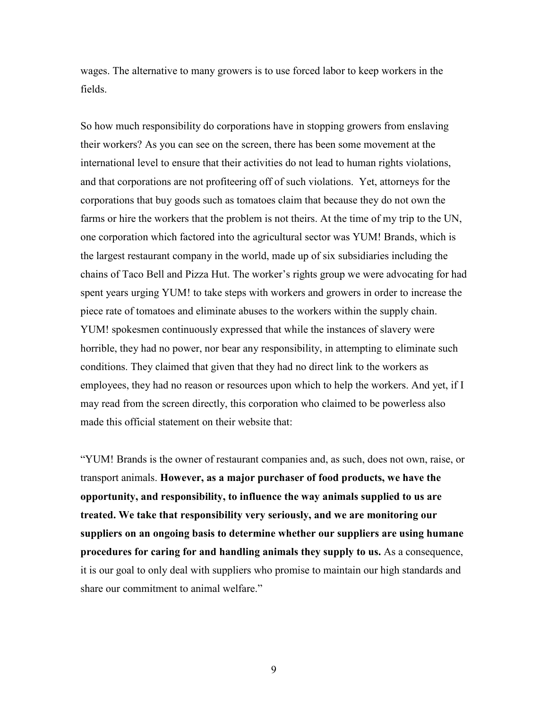wages. The alternative to many growers is to use forced labor to keep workers in the fields.

So how much responsibility do corporations have in stopping growers from enslaving their workers? As you can see on the screen, there has been some movement at the international level to ensure that their activities do not lead to human rights violations, and that corporations are not profiteering off of such violations. Yet, attorneys for the corporations that buy goods such as tomatoes claim that because they do not own the farms or hire the workers that the problem is not theirs. At the time of my trip to the UN, one corporation which factored into the agricultural sector was YUM! Brands, which is the largest restaurant company in the world, made up of six subsidiaries including the chains of Taco Bell and Pizza Hut. The worker's rights group we were advocating for had spent years urging YUM! to take steps with workers and growers in order to increase the piece rate of tomatoes and eliminate abuses to the workers within the supply chain. YUM! spokesmen continuously expressed that while the instances of slavery were horrible, they had no power, nor bear any responsibility, in attempting to eliminate such conditions. They claimed that given that they had no direct link to the workers as employees, they had no reason or resources upon which to help the workers. And yet, if I may read from the screen directly, this corporation who claimed to be powerless also made this official statement on their website that:

"YUM! Brands is the owner of restaurant companies and, as such, does not own, raise, or transport animals. **However, as a major purchaser of food products, we have the opportunity, and responsibility, to influence the way animals supplied to us are treated. We take that responsibility very seriously, and we are monitoring our suppliers on an ongoing basis to determine whether our suppliers are using humane procedures for caring for and handling animals they supply to us.** As a consequence, it is our goal to only deal with suppliers who promise to maintain our high standards and share our commitment to animal welfare."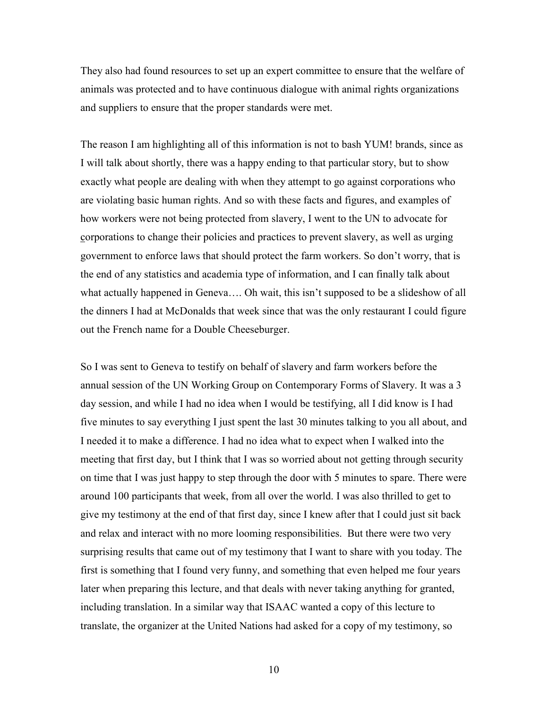They also had found resources to set up an expert committee to ensure that the welfare of animals was protected and to have continuous dialogue with animal rights organizations and suppliers to ensure that the proper standards were met.

The reason I am highlighting all of this information is not to bash YUM! brands, since as I will talk about shortly, there was a happy ending to that particular story, but to show exactly what people are dealing with when they attempt to go against corporations who are violating basic human rights. And so with these facts and figures, and examples of how workers were not being protected from slavery, I went to the UN to advocate for corporations to change their policies and practices to prevent slavery, as well as urging government to enforce laws that should protect the farm workers. So don't worry, that is the end of any statistics and academia type of information, and I can finally talk about what actually happened in Geneva…. Oh wait, this isn't supposed to be a slideshow of all the dinners I had at McDonalds that week since that was the only restaurant I could figure out the French name for a Double Cheeseburger.

So I was sent to Geneva to testify on behalf of slavery and farm workers before the annual session of the UN Working Group on Contemporary Forms of Slavery. It was a 3 day session, and while I had no idea when I would be testifying, all I did know is I had five minutes to say everything I just spent the last 30 minutes talking to you all about, and I needed it to make a difference. I had no idea what to expect when I walked into the meeting that first day, but I think that I was so worried about not getting through security on time that I was just happy to step through the door with 5 minutes to spare. There were around 100 participants that week, from all over the world. I was also thrilled to get to give my testimony at the end of that first day, since I knew after that I could just sit back and relax and interact with no more looming responsibilities. But there were two very surprising results that came out of my testimony that I want to share with you today. The first is something that I found very funny, and something that even helped me four years later when preparing this lecture, and that deals with never taking anything for granted, including translation. In a similar way that ISAAC wanted a copy of this lecture to translate, the organizer at the United Nations had asked for a copy of my testimony, so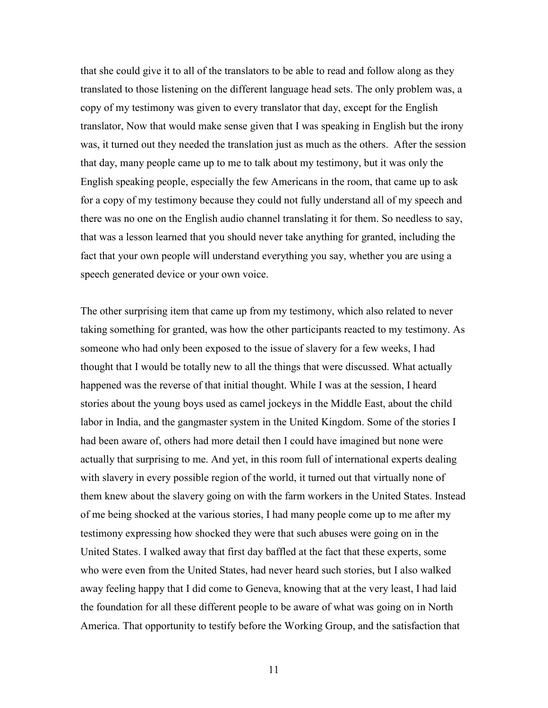that she could give it to all of the translators to be able to read and follow along as they translated to those listening on the different language head sets. The only problem was, a copy of my testimony was given to every translator that day, except for the English translator, Now that would make sense given that I was speaking in English but the irony was, it turned out they needed the translation just as much as the others. After the session that day, many people came up to me to talk about my testimony, but it was only the English speaking people, especially the few Americans in the room, that came up to ask for a copy of my testimony because they could not fully understand all of my speech and there was no one on the English audio channel translating it for them. So needless to say, that was a lesson learned that you should never take anything for granted, including the fact that your own people will understand everything you say, whether you are using a speech generated device or your own voice.

The other surprising item that came up from my testimony, which also related to never taking something for granted, was how the other participants reacted to my testimony. As someone who had only been exposed to the issue of slavery for a few weeks, I had thought that I would be totally new to all the things that were discussed. What actually happened was the reverse of that initial thought. While I was at the session, I heard stories about the young boys used as camel jockeys in the Middle East, about the child labor in India, and the gangmaster system in the United Kingdom. Some of the stories I had been aware of, others had more detail then I could have imagined but none were actually that surprising to me. And yet, in this room full of international experts dealing with slavery in every possible region of the world, it turned out that virtually none of them knew about the slavery going on with the farm workers in the United States. Instead of me being shocked at the various stories, I had many people come up to me after my testimony expressing how shocked they were that such abuses were going on in the United States. I walked away that first day baffled at the fact that these experts, some who were even from the United States, had never heard such stories, but I also walked away feeling happy that I did come to Geneva, knowing that at the very least, I had laid the foundation for all these different people to be aware of what was going on in North America. That opportunity to testify before the Working Group, and the satisfaction that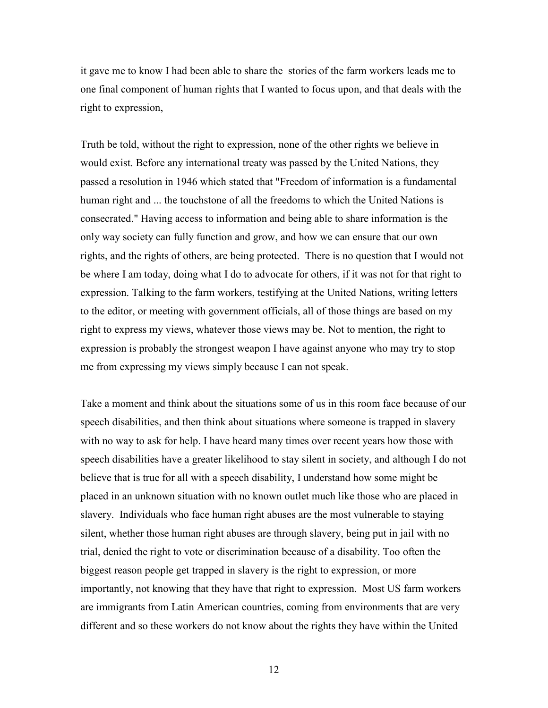it gave me to know I had been able to share the stories of the farm workers leads me to one final component of human rights that I wanted to focus upon, and that deals with the right to expression,

Truth be told, without the right to expression, none of the other rights we believe in would exist. Before any international treaty was passed by the United Nations, they passed a resolution in 1946 which stated that "Freedom of information is a fundamental human right and ... the touchstone of all the freedoms to which the United Nations is consecrated." Having access to information and being able to share information is the only way society can fully function and grow, and how we can ensure that our own rights, and the rights of others, are being protected. There is no question that I would not be where I am today, doing what I do to advocate for others, if it was not for that right to expression. Talking to the farm workers, testifying at the United Nations, writing letters to the editor, or meeting with government officials, all of those things are based on my right to express my views, whatever those views may be. Not to mention, the right to expression is probably the strongest weapon I have against anyone who may try to stop me from expressing my views simply because I can not speak.

Take a moment and think about the situations some of us in this room face because of our speech disabilities, and then think about situations where someone is trapped in slavery with no way to ask for help. I have heard many times over recent years how those with speech disabilities have a greater likelihood to stay silent in society, and although I do not believe that is true for all with a speech disability, I understand how some might be placed in an unknown situation with no known outlet much like those who are placed in slavery. Individuals who face human right abuses are the most vulnerable to staying silent, whether those human right abuses are through slavery, being put in jail with no trial, denied the right to vote or discrimination because of a disability. Too often the biggest reason people get trapped in slavery is the right to expression, or more importantly, not knowing that they have that right to expression. Most US farm workers are immigrants from Latin American countries, coming from environments that are very different and so these workers do not know about the rights they have within the United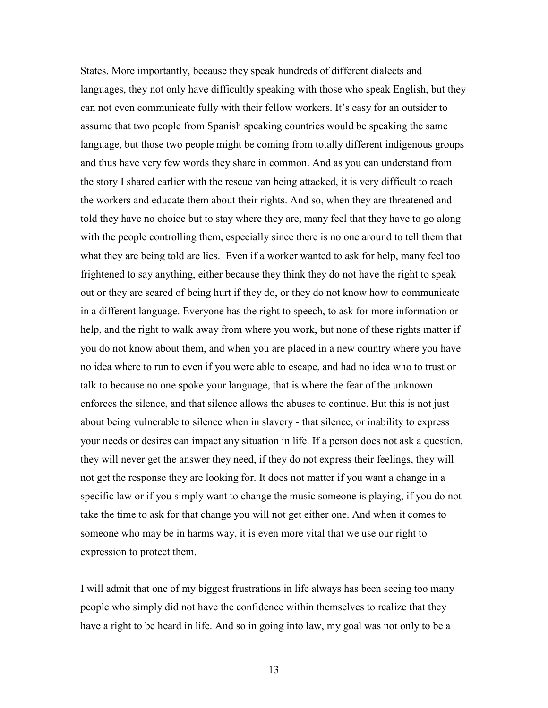States. More importantly, because they speak hundreds of different dialects and languages, they not only have difficultly speaking with those who speak English, but they can not even communicate fully with their fellow workers. It's easy for an outsider to assume that two people from Spanish speaking countries would be speaking the same language, but those two people might be coming from totally different indigenous groups and thus have very few words they share in common. And as you can understand from the story I shared earlier with the rescue van being attacked, it is very difficult to reach the workers and educate them about their rights. And so, when they are threatened and told they have no choice but to stay where they are, many feel that they have to go along with the people controlling them, especially since there is no one around to tell them that what they are being told are lies. Even if a worker wanted to ask for help, many feel too frightened to say anything, either because they think they do not have the right to speak out or they are scared of being hurt if they do, or they do not know how to communicate in a different language. Everyone has the right to speech, to ask for more information or help, and the right to walk away from where you work, but none of these rights matter if you do not know about them, and when you are placed in a new country where you have no idea where to run to even if you were able to escape, and had no idea who to trust or talk to because no one spoke your language, that is where the fear of the unknown enforces the silence, and that silence allows the abuses to continue. But this is not just about being vulnerable to silence when in slavery - that silence, or inability to express your needs or desires can impact any situation in life. If a person does not ask a question, they will never get the answer they need, if they do not express their feelings, they will not get the response they are looking for. It does not matter if you want a change in a specific law or if you simply want to change the music someone is playing, if you do not take the time to ask for that change you will not get either one. And when it comes to someone who may be in harms way, it is even more vital that we use our right to expression to protect them.

I will admit that one of my biggest frustrations in life always has been seeing too many people who simply did not have the confidence within themselves to realize that they have a right to be heard in life. And so in going into law, my goal was not only to be a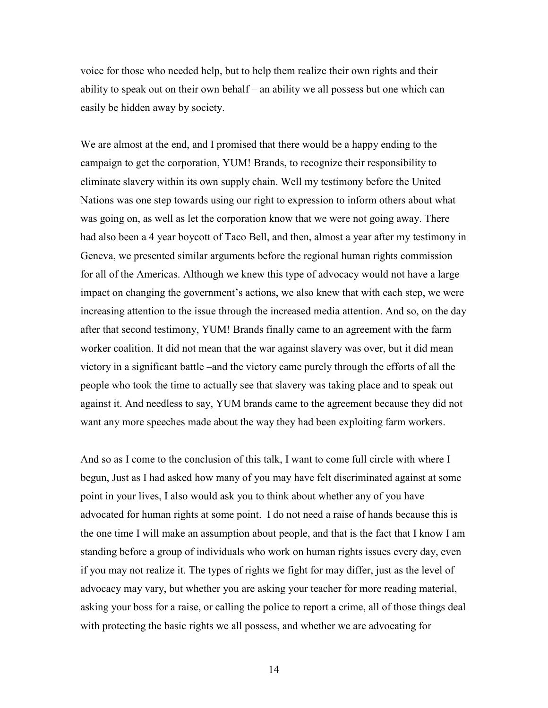voice for those who needed help, but to help them realize their own rights and their ability to speak out on their own behalf – an ability we all possess but one which can easily be hidden away by society.

We are almost at the end, and I promised that there would be a happy ending to the campaign to get the corporation, YUM! Brands, to recognize their responsibility to eliminate slavery within its own supply chain. Well my testimony before the United Nations was one step towards using our right to expression to inform others about what was going on, as well as let the corporation know that we were not going away. There had also been a 4 year boycott of Taco Bell, and then, almost a year after my testimony in Geneva, we presented similar arguments before the regional human rights commission for all of the Americas. Although we knew this type of advocacy would not have a large impact on changing the government's actions, we also knew that with each step, we were increasing attention to the issue through the increased media attention. And so, on the day after that second testimony, YUM! Brands finally came to an agreement with the farm worker coalition. It did not mean that the war against slavery was over, but it did mean victory in a significant battle –and the victory came purely through the efforts of all the people who took the time to actually see that slavery was taking place and to speak out against it. And needless to say, YUM brands came to the agreement because they did not want any more speeches made about the way they had been exploiting farm workers.

And so as I come to the conclusion of this talk, I want to come full circle with where I begun, Just as I had asked how many of you may have felt discriminated against at some point in your lives, I also would ask you to think about whether any of you have advocated for human rights at some point. I do not need a raise of hands because this is the one time I will make an assumption about people, and that is the fact that I know I am standing before a group of individuals who work on human rights issues every day, even if you may not realize it. The types of rights we fight for may differ, just as the level of advocacy may vary, but whether you are asking your teacher for more reading material, asking your boss for a raise, or calling the police to report a crime, all of those things deal with protecting the basic rights we all possess, and whether we are advocating for